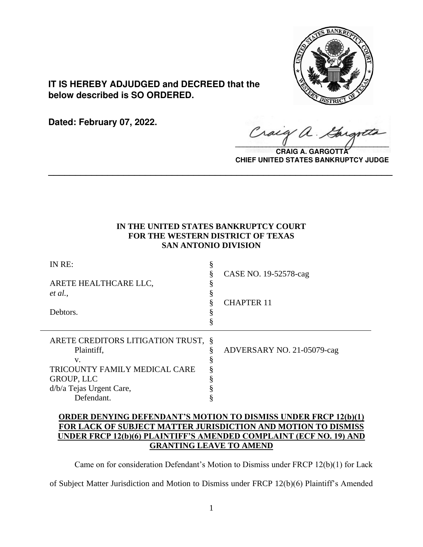

**IT IS HEREBY ADJUDGED and DECREED that the below described is SO ORDERED.**

**Dated: February 07, 2022.**

Craig a.

**CRAIG A. GARGOTT CHIEF UNITED STATES BANKRUPTCY JUDGE**

# **IN THE UNITED STATES BANKRUPTCY COURT FOR THE WESTERN DISTRICT OF TEXAS SAN ANTONIO DIVISION**

**\_\_\_\_\_\_\_\_\_\_\_\_\_\_\_\_\_\_\_\_\_\_\_\_\_\_\_\_\_\_\_\_\_\_\_\_\_\_\_\_\_\_\_\_\_\_\_\_\_\_\_\_\_\_\_\_\_\_\_\_\_\_\_\_**

| IN RE:                              |                            |
|-------------------------------------|----------------------------|
|                                     | CASE NO. 19-52578-cag      |
| ARETE HEALTHCARE LLC,               |                            |
| et al.,                             |                            |
|                                     | <b>CHAPTER 11</b>          |
| Debtors.                            |                            |
|                                     |                            |
|                                     |                            |
|                                     |                            |
| ARETE CREDITORS LITIGATION TRUST, § |                            |
| Plaintiff,                          | ADVERSARY NO. 21-05079-cag |
| V.                                  |                            |
| TRICOUNTY FAMILY MEDICAL CARE       |                            |
| <b>GROUP, LLC</b>                   |                            |
| d/b/a Tejas Urgent Care,            |                            |

# **ORDER DENYING DEFENDANT'S MOTION TO DISMISS UNDER FRCP 12(b)(1) FOR LACK OF SUBJECT MATTER JURISDICTION AND MOTION TO DISMISS UNDER FRCP 12(b)(6) PLAINTIFF'S AMENDED COMPLAINT (ECF NO. 19) AND GRANTING LEAVE TO AMEND**

Came on for consideration Defendant's Motion to Dismiss under FRCP 12(b)(1) for Lack

of Subject Matter Jurisdiction and Motion to Dismiss under FRCP 12(b)(6) Plaintiff's Amended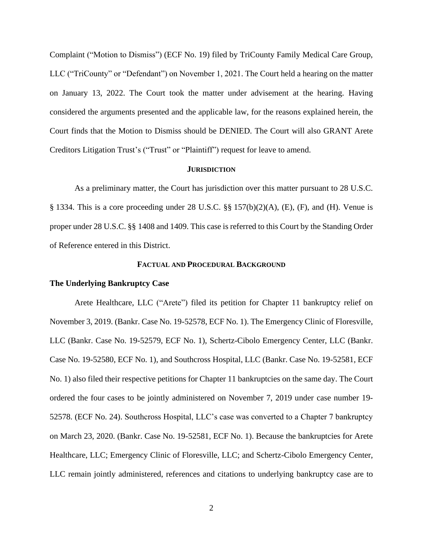Complaint ("Motion to Dismiss") (ECF No. 19) filed by TriCounty Family Medical Care Group, LLC ("TriCounty" or "Defendant") on November 1, 2021. The Court held a hearing on the matter on January 13, 2022. The Court took the matter under advisement at the hearing. Having considered the arguments presented and the applicable law, for the reasons explained herein, the Court finds that the Motion to Dismiss should be DENIED. The Court will also GRANT Arete Creditors Litigation Trust's ("Trust" or "Plaintiff") request for leave to amend.

#### **JURISDICTION**

As a preliminary matter, the Court has jurisdiction over this matter pursuant to 28 U.S.C. § 1334. This is a core proceeding under 28 U.S.C. §§ 157(b)(2)(A), (E), (F), and (H). Venue is proper under 28 U.S.C. §§ 1408 and 1409. This case is referred to this Court by the Standing Order of Reference entered in this District.

#### **FACTUAL AND PROCEDURAL BACKGROUND**

#### **The Underlying Bankruptcy Case**

Arete Healthcare, LLC ("Arete") filed its petition for Chapter 11 bankruptcy relief on November 3, 2019. (Bankr. Case No. 19-52578, ECF No. 1). The Emergency Clinic of Floresville, LLC (Bankr. Case No. 19-52579, ECF No. 1), Schertz-Cibolo Emergency Center, LLC (Bankr. Case No. 19-52580, ECF No. 1), and Southcross Hospital, LLC (Bankr. Case No. 19-52581, ECF No. 1) also filed their respective petitions for Chapter 11 bankruptcies on the same day. The Court ordered the four cases to be jointly administered on November 7, 2019 under case number 19- 52578. (ECF No. 24). Southcross Hospital, LLC's case was converted to a Chapter 7 bankruptcy on March 23, 2020. (Bankr. Case No. 19-52581, ECF No. 1). Because the bankruptcies for Arete Healthcare, LLC; Emergency Clinic of Floresville, LLC; and Schertz-Cibolo Emergency Center, LLC remain jointly administered, references and citations to underlying bankruptcy case are to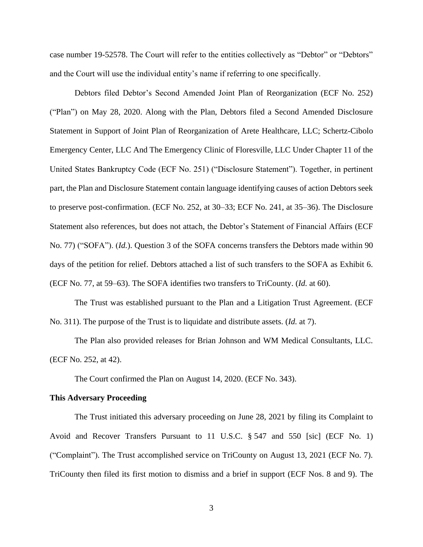case number 19-52578. The Court will refer to the entities collectively as "Debtor" or "Debtors" and the Court will use the individual entity's name if referring to one specifically.

Debtors filed Debtor's Second Amended Joint Plan of Reorganization (ECF No. 252) ("Plan") on May 28, 2020. Along with the Plan, Debtors filed a Second Amended Disclosure Statement in Support of Joint Plan of Reorganization of Arete Healthcare, LLC; Schertz-Cibolo Emergency Center, LLC And The Emergency Clinic of Floresville, LLC Under Chapter 11 of the United States Bankruptcy Code (ECF No. 251) ("Disclosure Statement"). Together, in pertinent part, the Plan and Disclosure Statement contain language identifying causes of action Debtors seek to preserve post-confirmation. (ECF No. 252, at 30–33; ECF No. 241, at 35–36). The Disclosure Statement also references, but does not attach, the Debtor's Statement of Financial Affairs (ECF No. 77) ("SOFA"). (*Id.*). Question 3 of the SOFA concerns transfers the Debtors made within 90 days of the petition for relief. Debtors attached a list of such transfers to the SOFA as Exhibit 6. (ECF No. 77, at 59–63). The SOFA identifies two transfers to TriCounty. (*Id.* at 60).

The Trust was established pursuant to the Plan and a Litigation Trust Agreement. (ECF No. 311). The purpose of the Trust is to liquidate and distribute assets. (*Id.* at 7).

The Plan also provided releases for Brian Johnson and WM Medical Consultants, LLC. (ECF No. 252, at 42).

The Court confirmed the Plan on August 14, 2020. (ECF No. 343).

#### **This Adversary Proceeding**

The Trust initiated this adversary proceeding on June 28, 2021 by filing its Complaint to Avoid and Recover Transfers Pursuant to 11 U.S.C. § 547 and 550 [sic] (ECF No. 1) ("Complaint"). The Trust accomplished service on TriCounty on August 13, 2021 (ECF No. 7). TriCounty then filed its first motion to dismiss and a brief in support (ECF Nos. 8 and 9). The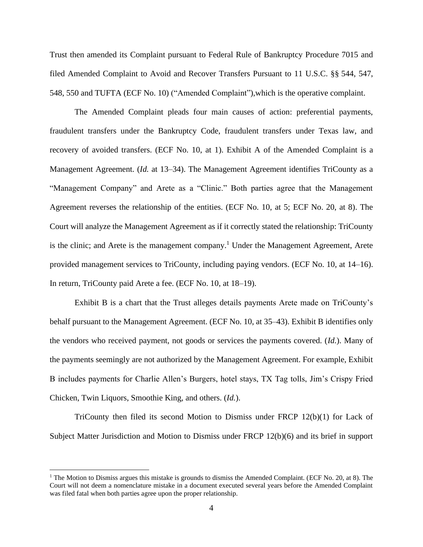Trust then amended its Complaint pursuant to Federal Rule of Bankruptcy Procedure 7015 and filed Amended Complaint to Avoid and Recover Transfers Pursuant to 11 U.S.C. §§ 544, 547, 548, 550 and TUFTA (ECF No. 10) ("Amended Complaint"),which is the operative complaint.

The Amended Complaint pleads four main causes of action: preferential payments, fraudulent transfers under the Bankruptcy Code, fraudulent transfers under Texas law, and recovery of avoided transfers. (ECF No. 10, at 1). Exhibit A of the Amended Complaint is a Management Agreement. (*Id.* at 13–34). The Management Agreement identifies TriCounty as a "Management Company" and Arete as a "Clinic." Both parties agree that the Management Agreement reverses the relationship of the entities. (ECF No. 10, at 5; ECF No. 20, at 8). The Court will analyze the Management Agreement as if it correctly stated the relationship: TriCounty is the clinic; and Arete is the management company.<sup>1</sup> Under the Management Agreement, Arete provided management services to TriCounty, including paying vendors. (ECF No. 10, at 14–16). In return, TriCounty paid Arete a fee. (ECF No. 10, at 18–19).

Exhibit B is a chart that the Trust alleges details payments Arete made on TriCounty's behalf pursuant to the Management Agreement. (ECF No. 10, at 35–43). Exhibit B identifies only the vendors who received payment, not goods or services the payments covered. (*Id.*). Many of the payments seemingly are not authorized by the Management Agreement. For example, Exhibit B includes payments for Charlie Allen's Burgers, hotel stays, TX Tag tolls, Jim's Crispy Fried Chicken, Twin Liquors, Smoothie King, and others. (*Id.*).

TriCounty then filed its second Motion to Dismiss under FRCP 12(b)(1) for Lack of Subject Matter Jurisdiction and Motion to Dismiss under FRCP 12(b)(6) and its brief in support

<sup>&</sup>lt;sup>1</sup> The Motion to Dismiss argues this mistake is grounds to dismiss the Amended Complaint. (ECF No. 20, at 8). The Court will not deem a nomenclature mistake in a document executed several years before the Amended Complaint was filed fatal when both parties agree upon the proper relationship.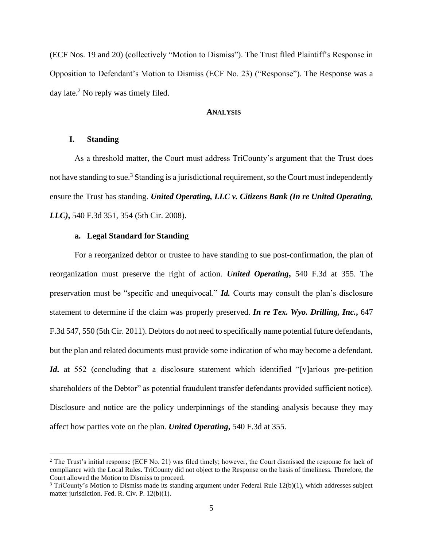(ECF Nos. 19 and 20) (collectively "Motion to Dismiss"). The Trust filed Plaintiff's Response in Opposition to Defendant's Motion to Dismiss (ECF No. 23) ("Response"). The Response was a day late.<sup>2</sup> No reply was timely filed.

#### **ANALYSIS**

## **I. Standing**

As a threshold matter, the Court must address TriCounty's argument that the Trust does not have standing to sue.<sup>3</sup> Standing is a jurisdictional requirement, so the Court must independently ensure the Trust has standing. *United Operating, LLC v. Citizens Bank (In re United Operating, LLC)***,** 540 F.3d 351, 354 (5th Cir. 2008).

## **a. Legal Standard for Standing**

For a reorganized debtor or trustee to have standing to sue post-confirmation, the plan of reorganization must preserve the right of action. *United Operating***,** 540 F.3d at 355. The preservation must be "specific and unequivocal." *Id.* Courts may consult the plan's disclosure statement to determine if the claim was properly preserved. *In re Tex. Wyo. Drilling, Inc.***,** 647 F.3d 547, 550 (5th Cir. 2011). Debtors do not need to specifically name potential future defendants, but the plan and related documents must provide some indication of who may become a defendant. *Id***.** at 552 (concluding that a disclosure statement which identified "[v]arious pre-petition shareholders of the Debtor" as potential fraudulent transfer defendants provided sufficient notice). Disclosure and notice are the policy underpinnings of the standing analysis because they may affect how parties vote on the plan. *United Operating***,** 540 F.3d at 355.

<sup>&</sup>lt;sup>2</sup> The Trust's initial response (ECF No. 21) was filed timely; however, the Court dismissed the response for lack of compliance with the Local Rules. TriCounty did not object to the Response on the basis of timeliness. Therefore, the Court allowed the Motion to Dismiss to proceed.

<sup>3</sup> TriCounty's Motion to Dismiss made its standing argument under Federal Rule 12(b)(1), which addresses subject matter jurisdiction. Fed. R. Civ. P. 12(b)(1).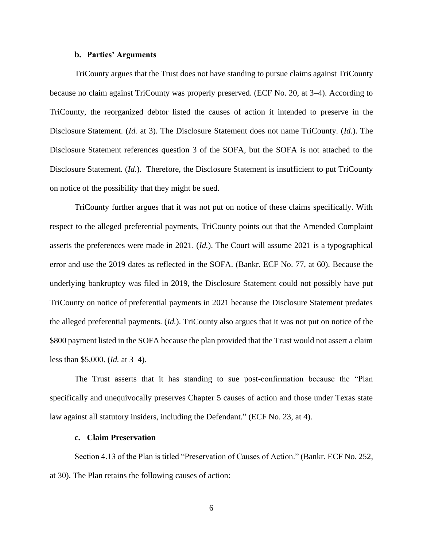# **b. Parties' Arguments**

TriCounty argues that the Trust does not have standing to pursue claims against TriCounty because no claim against TriCounty was properly preserved. (ECF No. 20, at 3–4). According to TriCounty, the reorganized debtor listed the causes of action it intended to preserve in the Disclosure Statement. (*Id.* at 3). The Disclosure Statement does not name TriCounty. (*Id.*). The Disclosure Statement references question 3 of the SOFA, but the SOFA is not attached to the Disclosure Statement. (*Id.*). Therefore, the Disclosure Statement is insufficient to put TriCounty on notice of the possibility that they might be sued.

TriCounty further argues that it was not put on notice of these claims specifically. With respect to the alleged preferential payments, TriCounty points out that the Amended Complaint asserts the preferences were made in 2021. (*Id.*). The Court will assume 2021 is a typographical error and use the 2019 dates as reflected in the SOFA. (Bankr. ECF No. 77, at 60). Because the underlying bankruptcy was filed in 2019, the Disclosure Statement could not possibly have put TriCounty on notice of preferential payments in 2021 because the Disclosure Statement predates the alleged preferential payments. (*Id.*). TriCounty also argues that it was not put on notice of the \$800 payment listed in the SOFA because the plan provided that the Trust would not assert a claim less than \$5,000. (*Id.* at 3–4).

The Trust asserts that it has standing to sue post-confirmation because the "Plan specifically and unequivocally preserves Chapter 5 causes of action and those under Texas state law against all statutory insiders, including the Defendant." (ECF No. 23, at 4).

#### **c. Claim Preservation**

Section 4.13 of the Plan is titled "Preservation of Causes of Action." (Bankr. ECF No. 252, at 30). The Plan retains the following causes of action: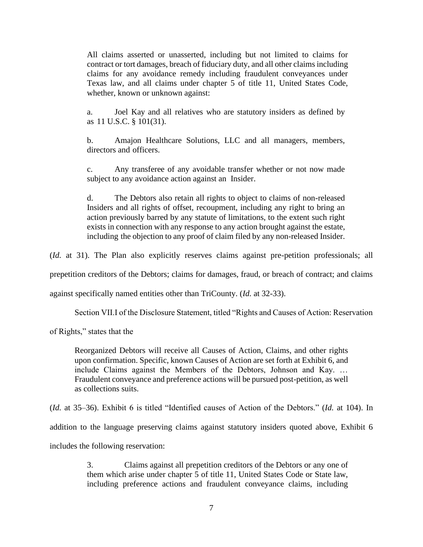All claims asserted or unasserted, including but not limited to claims for contract or tort damages, breach of fiduciary duty, and all other claims including claims for any avoidance remedy including fraudulent conveyances under Texas law, and all claims under chapter 5 of title 11, United States Code, whether, known or unknown against:

a. Joel Kay and all relatives who are statutory insiders as defined by as 11 U.S.C. § 101(31).

b. Amajon Healthcare Solutions, LLC and all managers, members, directors and officers.

c. Any transferee of any avoidable transfer whether or not now made subject to any avoidance action against an Insider.

d. The Debtors also retain all rights to object to claims of non-released Insiders and all rights of offset, recoupment, including any right to bring an action previously barred by any statute of limitations, to the extent such right exists in connection with any response to any action brought against the estate, including the objection to any proof of claim filed by any non-released Insider.

(*Id.* at 31). The Plan also explicitly reserves claims against pre-petition professionals; all

prepetition creditors of the Debtors; claims for damages, fraud, or breach of contract; and claims

against specifically named entities other than TriCounty. (*Id.* at 32-33).

Section VII.I of the Disclosure Statement, titled "Rights and Causes of Action: Reservation

of Rights," states that the

Reorganized Debtors will receive all Causes of Action, Claims, and other rights upon confirmation. Specific, known Causes of Action are set forth at Exhibit 6, and include Claims against the Members of the Debtors, Johnson and Kay. … Fraudulent conveyance and preference actions will be pursued post-petition, as well as collections suits.

(*Id.* at 35–36). Exhibit 6 is titled "Identified causes of Action of the Debtors." (*Id.* at 104). In

addition to the language preserving claims against statutory insiders quoted above, Exhibit 6

includes the following reservation:

3. Claims against all prepetition creditors of the Debtors or any one of them which arise under chapter 5 of title 11, United States Code or State law, including preference actions and fraudulent conveyance claims, including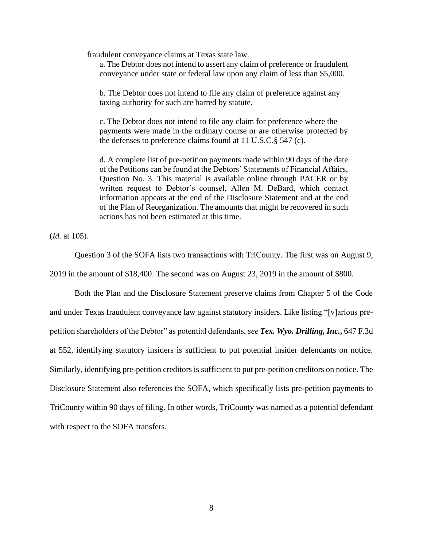fraudulent conveyance claims at Texas state law.

a. The Debtor does not intend to assert any claim of preference or fraudulent conveyance under state or federal law upon any claim of less than \$5,000.

b. The Debtor does not intend to file any claim of preference against any taxing authority for such are barred by statute.

c. The Debtor does not intend to file any claim for preference where the payments were made in the ordinary course or are otherwise protected by the defenses to preference claims found at 11 U.S.C.§ 547 (c).

d. A complete list of pre-petition payments made within 90 days of the date of the Petitions can be found at the Debtors' Statements of Financial Affairs, Question No. 3. This material is available online through PACER or by written request to Debtor's counsel, Allen M. DeBard, which contact information appears at the end of the Disclosure Statement and at the end of the Plan of Reorganization. The amounts that might be recovered in such actions has not been estimated at this time.

(*Id.* at 105).

Question 3 of the SOFA lists two transactions with TriCounty. The first was on August 9,

2019 in the amount of \$18,400. The second was on August 23, 2019 in the amount of \$800.

Both the Plan and the Disclosure Statement preserve claims from Chapter 5 of the Code and under Texas fraudulent conveyance law against statutory insiders. Like listing "[v]arious prepetition shareholders of the Debtor" as potential defendants, *see Tex. Wyo. Drilling, Inc.***,** 647 F.3d at 552, identifying statutory insiders is sufficient to put potential insider defendants on notice. Similarly, identifying pre-petition creditors is sufficient to put pre-petition creditors on notice. The Disclosure Statement also references the SOFA, which specifically lists pre-petition payments to TriCounty within 90 days of filing. In other words, TriCounty was named as a potential defendant with respect to the SOFA transfers.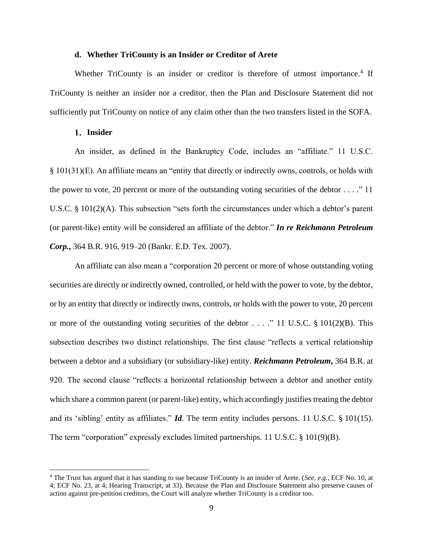## **d. Whether TriCounty is an Insider or Creditor of Arete**

Whether TriCounty is an insider or creditor is therefore of utmost importance.<sup>4</sup> If TriCounty is neither an insider nor a creditor, then the Plan and Disclosure Statement did not sufficiently put TriCounty on notice of any claim other than the two transfers listed in the SOFA.

#### **Insider**

An insider, as defined in the Bankruptcy Code, includes an "affiliate." 11 U.S.C. § 101(31)(E). An affiliate means an "entity that directly or indirectly owns, controls, or holds with the power to vote, 20 percent or more of the outstanding voting securities of the debtor  $\dots$ ." 11 U.S.C. § 101(2)(A). This subsection "sets forth the circumstances under which a debtor's parent (or parent-like) entity will be considered an affiliate of the debtor." *In re Reichmann Petroleum Corp.***,** 364 B.R. 916, 919–20 (Bankr. E.D. Tex. 2007).

An affiliate can also mean a "corporation 20 percent or more of whose outstanding voting securities are directly or indirectly owned, controlled, or held with the power to vote, by the debtor, or by an entity that directly or indirectly owns, controls, or holds with the power to vote, 20 percent or more of the outstanding voting securities of the debtor  $\dots$  ." 11 U.S.C. § 101(2)(B). This subsection describes two distinct relationships. The first clause "reflects a vertical relationship between a debtor and a subsidiary (or subsidiary-like) entity. *Reichmann Petroleum***,** 364 B.R. at 920. The second clause "reflects a horizontal relationship between a debtor and another entity which share a common parent (or parent-like) entity, which accordingly justifies treating the debtor and its 'sibling' entity as affiliates." *Id*. The term entity includes persons. 11 U.S.C. § 101(15). The term "corporation" expressly excludes limited partnerships. 11 U.S.C. § 101(9)(B).

<sup>4</sup> The Trust has argued that it has standing to sue because TriCounty is an insider of Arete. (*See, e.g.*, ECF No. 10, at 4; ECF No. 23, at 4; Hearing Transcript, at 33). Because the Plan and Disclosure Statement also preserve causes of action against pre-petition creditors, the Court will analyze whether TriCounty is a creditor too.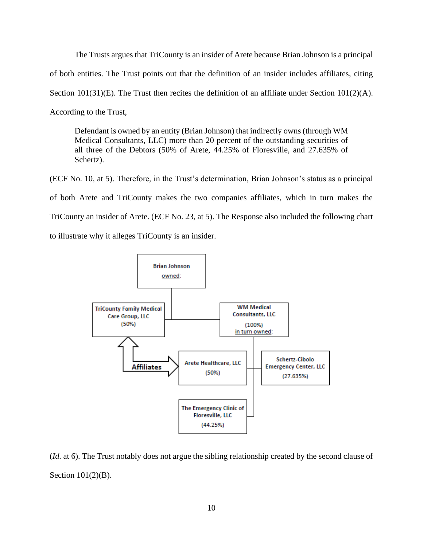The Trusts argues that TriCounty is an insider of Arete because Brian Johnson is a principal of both entities. The Trust points out that the definition of an insider includes affiliates, citing Section 101(31)(E). The Trust then recites the definition of an affiliate under Section 101(2)(A). According to the Trust,

Defendant is owned by an entity (Brian Johnson) that indirectly owns (through WM Medical Consultants, LLC) more than 20 percent of the outstanding securities of all three of the Debtors (50% of Arete, 44.25% of Floresville, and 27.635% of Schertz).

(ECF No. 10, at 5). Therefore, in the Trust's determination, Brian Johnson's status as a principal of both Arete and TriCounty makes the two companies affiliates, which in turn makes the TriCounty an insider of Arete. (ECF No. 23, at 5). The Response also included the following chart to illustrate why it alleges TriCounty is an insider.



(*Id.* at 6). The Trust notably does not argue the sibling relationship created by the second clause of Section 101(2)(B).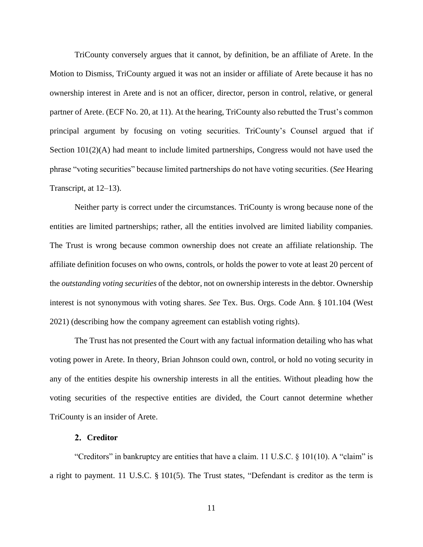TriCounty conversely argues that it cannot, by definition, be an affiliate of Arete. In the Motion to Dismiss, TriCounty argued it was not an insider or affiliate of Arete because it has no ownership interest in Arete and is not an officer, director, person in control, relative, or general partner of Arete. (ECF No. 20, at 11). At the hearing, TriCounty also rebutted the Trust's common principal argument by focusing on voting securities. TriCounty's Counsel argued that if Section  $101(2)(A)$  had meant to include limited partnerships, Congress would not have used the phrase "voting securities" because limited partnerships do not have voting securities. (*See* Hearing Transcript, at 12–13).

Neither party is correct under the circumstances. TriCounty is wrong because none of the entities are limited partnerships; rather, all the entities involved are limited liability companies. The Trust is wrong because common ownership does not create an affiliate relationship. The affiliate definition focuses on who owns, controls, or holds the power to vote at least 20 percent of the *outstanding voting securities* of the debtor, not on ownership interests in the debtor. Ownership interest is not synonymous with voting shares. *See* Tex. Bus. Orgs. Code Ann. § 101.104 (West 2021) (describing how the company agreement can establish voting rights).

The Trust has not presented the Court with any factual information detailing who has what voting power in Arete. In theory, Brian Johnson could own, control, or hold no voting security in any of the entities despite his ownership interests in all the entities. Without pleading how the voting securities of the respective entities are divided, the Court cannot determine whether TriCounty is an insider of Arete.

## **Creditor**

"Creditors" in bankruptcy are entities that have a claim. 11 U.S.C. § 101(10). A "claim" is a right to payment. 11 U.S.C. § 101(5). The Trust states, "Defendant is creditor as the term is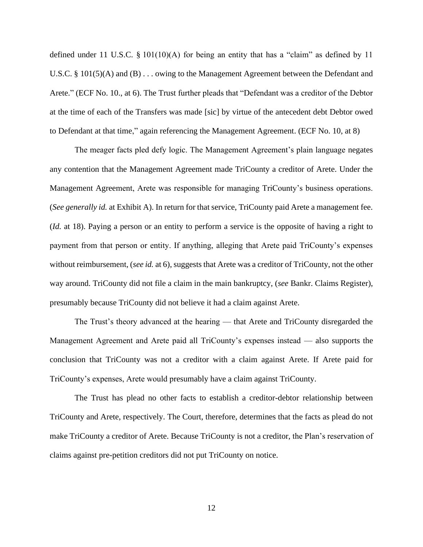defined under 11 U.S.C. § 101(10)(A) for being an entity that has a "claim" as defined by 11 U.S.C. § 101(5)(A) and (B) . . . owing to the Management Agreement between the Defendant and Arete." (ECF No. 10., at 6). The Trust further pleads that "Defendant was a creditor of the Debtor at the time of each of the Transfers was made [sic] by virtue of the antecedent debt Debtor owed to Defendant at that time," again referencing the Management Agreement. (ECF No. 10, at 8)

The meager facts pled defy logic. The Management Agreement's plain language negates any contention that the Management Agreement made TriCounty a creditor of Arete. Under the Management Agreement, Arete was responsible for managing TriCounty's business operations. (*See generally id.* at Exhibit A). In return for that service, TriCounty paid Arete a management fee. (*Id.* at 18). Paying a person or an entity to perform a service is the opposite of having a right to payment from that person or entity. If anything, alleging that Arete paid TriCounty's expenses without reimbursement, (*see id.* at 6), suggests that Arete was a creditor of TriCounty, not the other way around. TriCounty did not file a claim in the main bankruptcy, (*see* Bankr. Claims Register), presumably because TriCounty did not believe it had a claim against Arete.

The Trust's theory advanced at the hearing — that Arete and TriCounty disregarded the Management Agreement and Arete paid all TriCounty's expenses instead — also supports the conclusion that TriCounty was not a creditor with a claim against Arete. If Arete paid for TriCounty's expenses, Arete would presumably have a claim against TriCounty.

The Trust has plead no other facts to establish a creditor-debtor relationship between TriCounty and Arete, respectively. The Court, therefore, determines that the facts as plead do not make TriCounty a creditor of Arete. Because TriCounty is not a creditor, the Plan's reservation of claims against pre-petition creditors did not put TriCounty on notice.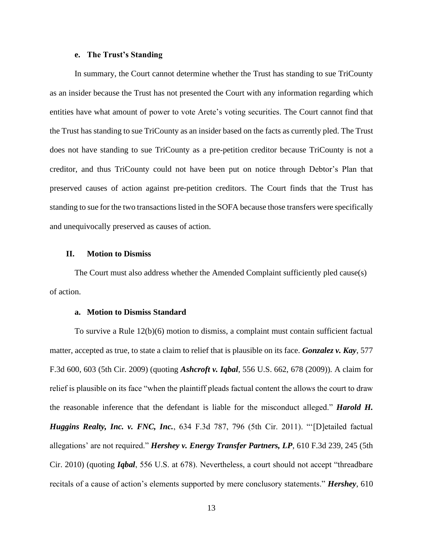## **e. The Trust's Standing**

In summary, the Court cannot determine whether the Trust has standing to sue TriCounty as an insider because the Trust has not presented the Court with any information regarding which entities have what amount of power to vote Arete's voting securities. The Court cannot find that the Trust has standing to sue TriCounty as an insider based on the facts as currently pled. The Trust does not have standing to sue TriCounty as a pre-petition creditor because TriCounty is not a creditor, and thus TriCounty could not have been put on notice through Debtor's Plan that preserved causes of action against pre-petition creditors. The Court finds that the Trust has standing to sue for the two transactions listed in the SOFA because those transfers were specifically and unequivocally preserved as causes of action.

#### **II. Motion to Dismiss**

The Court must also address whether the Amended Complaint sufficiently pled cause(s) of action.

#### **a. Motion to Dismiss Standard**

To survive a Rule 12(b)(6) motion to dismiss, a complaint must contain sufficient factual matter, accepted as true, to state a claim to relief that is plausible on its face. *Gonzalez v. Kay*, 577 F.3d 600, 603 (5th Cir. 2009) (quoting *Ashcroft v. Iqbal*, 556 U.S. 662, 678 (2009)). A claim for relief is plausible on its face "when the plaintiff pleads factual content the allows the court to draw the reasonable inference that the defendant is liable for the misconduct alleged." *Harold H. Huggins Realty, Inc. v. FNC, Inc.*, 634 F.3d 787, 796 (5th Cir. 2011). "'[D]etailed factual allegations' are not required." *Hershey v. Energy Transfer Partners, LP*, 610 F.3d 239, 245 (5th Cir. 2010) (quoting *Iqbal*, 556 U.S. at 678). Nevertheless, a court should not accept "threadbare recitals of a cause of action's elements supported by mere conclusory statements." *Hershey*, 610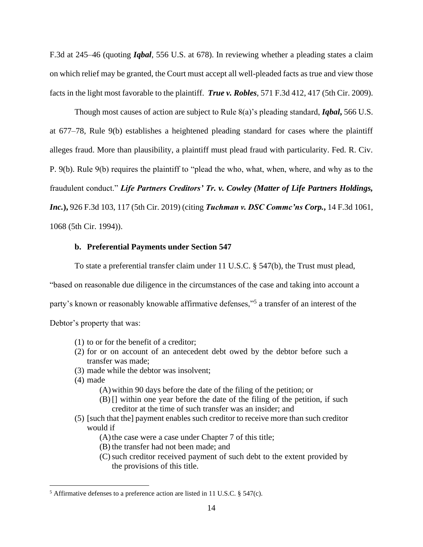F.3d at 245–46 (quoting *Iqbal*, 556 U.S. at 678). In reviewing whether a pleading states a claim on which relief may be granted, the Court must accept all well-pleaded facts as true and view those facts in the light most favorable to the plaintiff. *True v. Robles*, 571 F.3d 412, 417 (5th Cir. 2009).

Though most causes of action are subject to Rule 8(a)'s pleading standard, *Iqbal***,** 566 U.S. at 677–78, Rule 9(b) establishes a heightened pleading standard for cases where the plaintiff alleges fraud. More than plausibility, a plaintiff must plead fraud with particularity. Fed. R. Civ. P. 9(b). Rule 9(b) requires the plaintiff to "plead the who, what, when, where, and why as to the fraudulent conduct." *Life Partners Creditors' Tr. v. Cowley (Matter of Life Partners Holdings, Inc.***),** 926 F.3d 103, 117 (5th Cir. 2019) (citing *Tuchman v. DSC Commc'ns Corp.***,** 14 F.3d 1061, 1068 (5th Cir. 1994)).

# **b. Preferential Payments under Section 547**

To state a preferential transfer claim under 11 U.S.C. § 547(b), the Trust must plead,

"based on reasonable due diligence in the circumstances of the case and taking into account a

party's known or reasonably knowable affirmative defenses,"<sup>5</sup> a transfer of an interest of the

Debtor's property that was:

- (1) to or for the benefit of a creditor;
- (2) for or on account of an antecedent debt owed by the debtor before such a transfer was made;
- (3) made while the debtor was insolvent;
- (4) made
	- (A)within 90 days before the date of the filing of the petition; or
	- (B) [] within one year before the date of the filing of the petition, if such creditor at the time of such transfer was an insider; and
- (5) [such that the] payment enables such creditor to receive more than such creditor would if

 $(A)$  the case were a case under Chapter 7 of this title;

- (B) the transfer had not been made; and
- (C)such creditor received payment of such debt to the extent provided by the provisions of this title.

<sup>5</sup> Affirmative defenses to a preference action are listed in 11 U.S.C. § 547(c).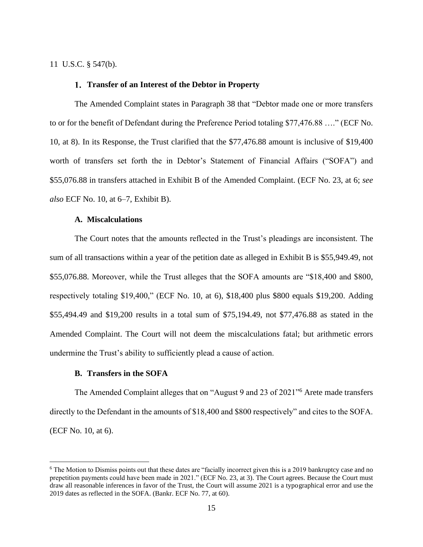## 11 U.S.C. § 547(b).

# **Transfer of an Interest of the Debtor in Property**

The Amended Complaint states in Paragraph 38 that "Debtor made one or more transfers to or for the benefit of Defendant during the Preference Period totaling \$77,476.88 …." (ECF No. 10, at 8). In its Response, the Trust clarified that the \$77,476.88 amount is inclusive of \$19,400 worth of transfers set forth the in Debtor's Statement of Financial Affairs ("SOFA") and \$55,076.88 in transfers attached in Exhibit B of the Amended Complaint. (ECF No. 23, at 6; *see also* ECF No. 10, at 6–7, Exhibit B).

#### **A. Miscalculations**

The Court notes that the amounts reflected in the Trust's pleadings are inconsistent. The sum of all transactions within a year of the petition date as alleged in Exhibit B is \$55,949.49, not \$55,076.88. Moreover, while the Trust alleges that the SOFA amounts are "\$18,400 and \$800, respectively totaling \$19,400," (ECF No. 10, at 6), \$18,400 plus \$800 equals \$19,200. Adding \$55,494.49 and \$19,200 results in a total sum of \$75,194.49, not \$77,476.88 as stated in the Amended Complaint. The Court will not deem the miscalculations fatal; but arithmetic errors undermine the Trust's ability to sufficiently plead a cause of action.

#### **B. Transfers in the SOFA**

The Amended Complaint alleges that on "August 9 and 23 of 2021" <sup>6</sup> Arete made transfers directly to the Defendant in the amounts of \$18,400 and \$800 respectively" and cites to the SOFA. (ECF No. 10, at 6).

<sup>&</sup>lt;sup>6</sup> The Motion to Dismiss points out that these dates are "facially incorrect given this is a 2019 bankruptcy case and no prepetition payments could have been made in 2021." (ECF No. 23, at 3). The Court agrees. Because the Court must draw all reasonable inferences in favor of the Trust, the Court will assume 2021 is a typographical error and use the 2019 dates as reflected in the SOFA. (Bankr. ECF No. 77, at 60).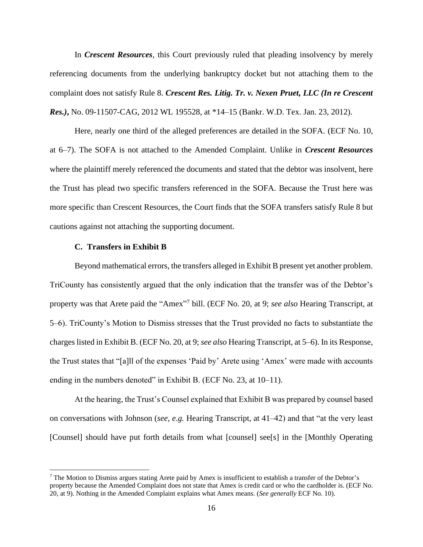In *Crescent Resources*, this Court previously ruled that pleading insolvency by merely referencing documents from the underlying bankruptcy docket but not attaching them to the complaint does not satisfy Rule 8. *Crescent Res. Litig. Tr. v. Nexen Pruet, LLC (In re Crescent Res.)***,** No. 09-11507-CAG, 2012 WL 195528, at \*14–15 (Bankr. W.D. Tex. Jan. 23, 2012).

Here, nearly one third of the alleged preferences are detailed in the SOFA. (ECF No. 10, at 6–7). The SOFA is not attached to the Amended Complaint. Unlike in *Crescent Resources* where the plaintiff merely referenced the documents and stated that the debtor was insolvent, here the Trust has plead two specific transfers referenced in the SOFA. Because the Trust here was more specific than Crescent Resources, the Court finds that the SOFA transfers satisfy Rule 8 but cautions against not attaching the supporting document.

## **C. Transfers in Exhibit B**

Beyond mathematical errors, the transfers alleged in Exhibit B present yet another problem. TriCounty has consistently argued that the only indication that the transfer was of the Debtor's property was that Arete paid the "Amex" 7 bill. (ECF No. 20, at 9; *see also* Hearing Transcript, at 5–6). TriCounty's Motion to Dismiss stresses that the Trust provided no facts to substantiate the charges listed in Exhibit B. (ECF No. 20, at 9; *see also* Hearing Transcript, at 5–6). In its Response, the Trust states that "[a]ll of the expenses 'Paid by' Arete using 'Amex' were made with accounts ending in the numbers denoted" in Exhibit B. (ECF No. 23, at 10–11).

At the hearing, the Trust's Counsel explained that Exhibit B was prepared by counsel based on conversations with Johnson (*see, e.g.* Hearing Transcript, at 41–42) and that "at the very least [Counsel] should have put forth details from what [counsel] see[s] in the [Monthly Operating

<sup>&</sup>lt;sup>7</sup> The Motion to Dismiss argues stating Arete paid by Amex is insufficient to establish a transfer of the Debtor's property because the Amended Complaint does not state that Amex is credit card or who the cardholder is. (ECF No. 20, at 9). Nothing in the Amended Complaint explains what Amex means. (*See generally* ECF No. 10).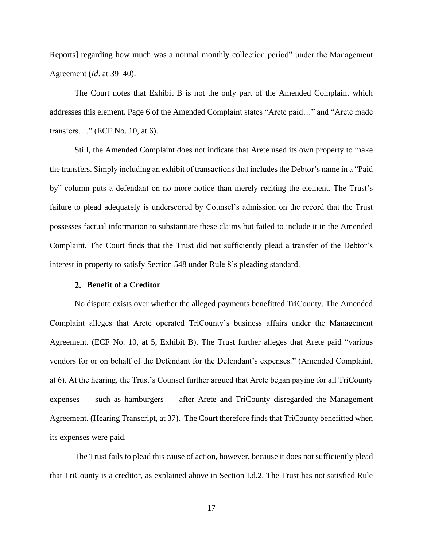Reports] regarding how much was a normal monthly collection period" under the Management Agreement (*Id*. at 39–40).

The Court notes that Exhibit B is not the only part of the Amended Complaint which addresses this element. Page 6 of the Amended Complaint states "Arete paid…" and "Arete made transfers…." (ECF No. 10, at 6).

Still, the Amended Complaint does not indicate that Arete used its own property to make the transfers. Simply including an exhibit of transactions that includes the Debtor's name in a "Paid by" column puts a defendant on no more notice than merely reciting the element. The Trust's failure to plead adequately is underscored by Counsel's admission on the record that the Trust possesses factual information to substantiate these claims but failed to include it in the Amended Complaint. The Court finds that the Trust did not sufficiently plead a transfer of the Debtor's interest in property to satisfy Section 548 under Rule 8's pleading standard.

# **Benefit of a Creditor**

No dispute exists over whether the alleged payments benefitted TriCounty. The Amended Complaint alleges that Arete operated TriCounty's business affairs under the Management Agreement. (ECF No. 10, at 5, Exhibit B). The Trust further alleges that Arete paid "various vendors for or on behalf of the Defendant for the Defendant's expenses." (Amended Complaint, at 6). At the hearing, the Trust's Counsel further argued that Arete began paying for all TriCounty expenses — such as hamburgers — after Arete and TriCounty disregarded the Management Agreement. (Hearing Transcript, at 37). The Court therefore finds that TriCounty benefitted when its expenses were paid.

The Trust fails to plead this cause of action, however, because it does not sufficiently plead that TriCounty is a creditor, as explained above in Section I.d.2. The Trust has not satisfied Rule

17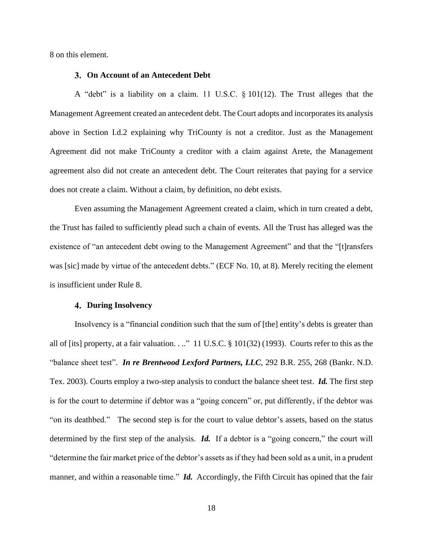8 on this element.

#### **On Account of an Antecedent Debt**

A "debt" is a liability on a claim. 11 U.S.C. § 101(12). The Trust alleges that the Management Agreement created an antecedent debt. The Court adopts and incorporates its analysis above in Section I.d.2 explaining why TriCounty is not a creditor. Just as the Management Agreement did not make TriCounty a creditor with a claim against Arete, the Management agreement also did not create an antecedent debt. The Court reiterates that paying for a service does not create a claim. Without a claim, by definition, no debt exists.

Even assuming the Management Agreement created a claim, which in turn created a debt, the Trust has failed to sufficiently plead such a chain of events. All the Trust has alleged was the existence of "an antecedent debt owing to the Management Agreement" and that the "[t]ransfers was [sic] made by virtue of the antecedent debts." (ECF No. 10, at 8). Merely reciting the element is insufficient under Rule 8.

## **During Insolvency**

Insolvency is a "financial condition such that the sum of [the] entity's debts is greater than all of [its] property, at a fair valuation. . .." 11 U.S.C. § 101(32) (1993). Courts refer to this as the "balance sheet test". *In re Brentwood Lexford Partners, LLC*, 292 B.R. 255, 268 (Bankr. N.D. Tex. 2003). Courts employ a two-step analysis to conduct the balance sheet test. *Id.* The first step is for the court to determine if debtor was a "going concern" or, put differently, if the debtor was "on its deathbed." The second step is for the court to value debtor's assets, based on the status determined by the first step of the analysis. **Id.** If a debtor is a "going concern," the court will "determine the fair market price of the debtor's assets as if they had been sold as a unit, in a prudent manner, and within a reasonable time." *Id.* Accordingly, the Fifth Circuit has opined that the fair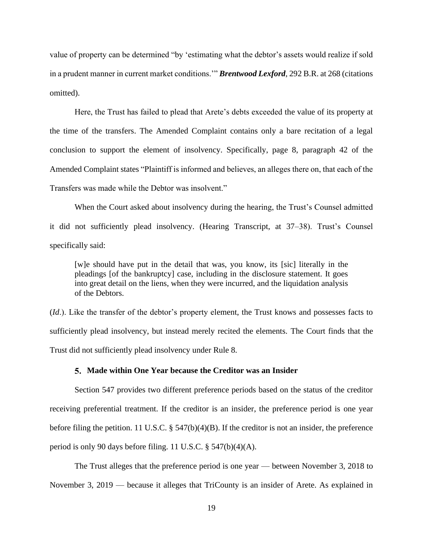value of property can be determined "by 'estimating what the debtor's assets would realize if sold in a prudent manner in current market conditions.'" *Brentwood Lexford*, 292 B.R. at 268 (citations omitted).

Here, the Trust has failed to plead that Arete's debts exceeded the value of its property at the time of the transfers. The Amended Complaint contains only a bare recitation of a legal conclusion to support the element of insolvency. Specifically, page 8, paragraph 42 of the Amended Complaint states "Plaintiff is informed and believes, an alleges there on, that each of the Transfers was made while the Debtor was insolvent."

When the Court asked about insolvency during the hearing, the Trust's Counsel admitted it did not sufficiently plead insolvency. (Hearing Transcript, at 37–38). Trust's Counsel specifically said:

[w]e should have put in the detail that was, you know, its [sic] literally in the pleadings [of the bankruptcy] case, including in the disclosure statement. It goes into great detail on the liens, when they were incurred, and the liquidation analysis of the Debtors.

(*Id*.). Like the transfer of the debtor's property element, the Trust knows and possesses facts to sufficiently plead insolvency, but instead merely recited the elements. The Court finds that the Trust did not sufficiently plead insolvency under Rule 8.

#### **Made within One Year because the Creditor was an Insider**

Section 547 provides two different preference periods based on the status of the creditor receiving preferential treatment. If the creditor is an insider, the preference period is one year before filing the petition. 11 U.S.C. § 547(b)(4)(B). If the creditor is not an insider, the preference period is only 90 days before filing. 11 U.S.C. § 547(b)(4)(A).

The Trust alleges that the preference period is one year — between November 3, 2018 to November 3, 2019 — because it alleges that TriCounty is an insider of Arete. As explained in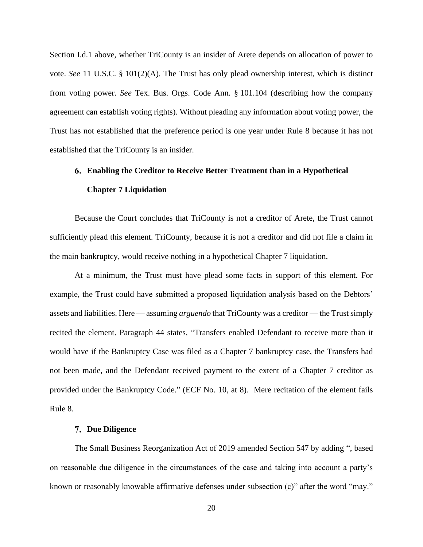Section I.d.1 above, whether TriCounty is an insider of Arete depends on allocation of power to vote. *See* 11 U.S.C. § 101(2)(A). The Trust has only plead ownership interest, which is distinct from voting power. *See* Tex. Bus. Orgs. Code Ann. § 101.104 (describing how the company agreement can establish voting rights). Without pleading any information about voting power, the Trust has not established that the preference period is one year under Rule 8 because it has not established that the TriCounty is an insider.

# **Enabling the Creditor to Receive Better Treatment than in a Hypothetical Chapter 7 Liquidation**

Because the Court concludes that TriCounty is not a creditor of Arete, the Trust cannot sufficiently plead this element. TriCounty, because it is not a creditor and did not file a claim in the main bankruptcy, would receive nothing in a hypothetical Chapter 7 liquidation.

At a minimum, the Trust must have plead some facts in support of this element. For example, the Trust could have submitted a proposed liquidation analysis based on the Debtors' assets and liabilities. Here — assuming *arguendo* that TriCounty was a creditor — the Trust simply recited the element. Paragraph 44 states, "Transfers enabled Defendant to receive more than it would have if the Bankruptcy Case was filed as a Chapter 7 bankruptcy case, the Transfers had not been made, and the Defendant received payment to the extent of a Chapter 7 creditor as provided under the Bankruptcy Code." (ECF No. 10, at 8). Mere recitation of the element fails Rule 8.

#### **Due Diligence**

The Small Business Reorganization Act of 2019 amended Section 547 by adding ", based on reasonable due diligence in the circumstances of the case and taking into account a party's known or reasonably knowable affirmative defenses under subsection (c)" after the word "may."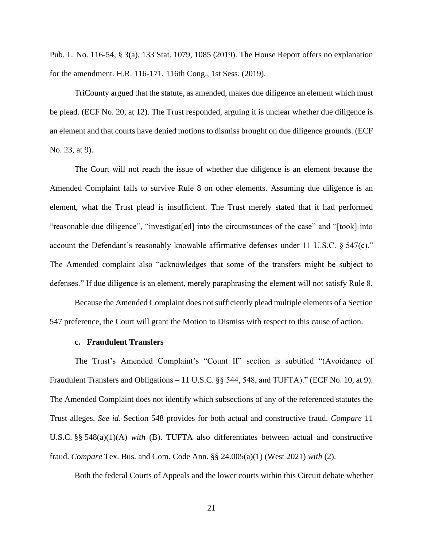Pub. L. No. 116-54, § 3(a), 133 Stat. 1079, 1085 (2019). The House Report offers no explanation for the amendment. H.R. 116-171, 116th Cong., 1st Sess. (2019).

TriCounty argued that the statute, as amended, makes due diligence an element which must be plead. (ECF No. 20, at 12). The Trust responded, arguing it is unclear whether due diligence is an element and that courts have denied motions to dismiss brought on due diligence grounds. (ECF No. 23, at 9).

The Court will not reach the issue of whether due diligence is an element because the Amended Complaint fails to survive Rule 8 on other elements. Assuming due diligence is an element, what the Trust plead is insufficient. The Trust merely stated that it had performed "reasonable due diligence", "investigat[ed] into the circumstances of the case" and "[took] into account the Defendant's reasonably knowable affirmative defenses under 11 U.S.C. § 547(c)." The Amended complaint also "acknowledges that some of the transfers might be subject to defenses." If due diligence is an element, merely paraphrasing the element will not satisfy Rule 8.

Because the Amended Complaint does not sufficiently plead multiple elements of a Section 547 preference, the Court will grant the Motion to Dismiss with respect to this cause of action.

# **c. Fraudulent Transfers**

The Trust's Amended Complaint's "Count II" section is subtitled "(Avoidance of Fraudulent Transfers and Obligations – 11 U.S.C. §§ 544, 548, and TUFTA)." (ECF No. 10, at 9). The Amended Complaint does not identify which subsections of any of the referenced statutes the Trust alleges. *See id*. Section 548 provides for both actual and constructive fraud. *Compare* 11 U.S.C. §§ 548(a)(1)(A) *with* (B). TUFTA also differentiates between actual and constructive fraud. *Compare* Tex. Bus. and Com. Code Ann. §§ 24.005(a)(1) (West 2021) *with* (2).

Both the federal Courts of Appeals and the lower courts within this Circuit debate whether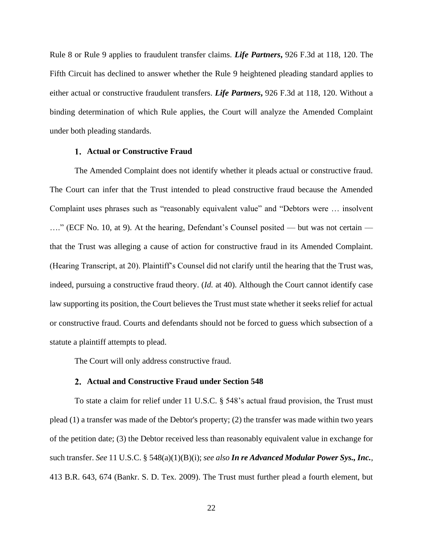Rule 8 or Rule 9 applies to fraudulent transfer claims. *Life Partners***,** 926 F.3d at 118, 120. The Fifth Circuit has declined to answer whether the Rule 9 heightened pleading standard applies to either actual or constructive fraudulent transfers. *Life Partners***,** 926 F.3d at 118, 120. Without a binding determination of which Rule applies, the Court will analyze the Amended Complaint under both pleading standards.

## **Actual or Constructive Fraud**

The Amended Complaint does not identify whether it pleads actual or constructive fraud. The Court can infer that the Trust intended to plead constructive fraud because the Amended Complaint uses phrases such as "reasonably equivalent value" and "Debtors were … insolvent …." (ECF No. 10, at 9). At the hearing, Defendant's Counsel posited — but was not certain that the Trust was alleging a cause of action for constructive fraud in its Amended Complaint. (Hearing Transcript, at 20). Plaintiff's Counsel did not clarify until the hearing that the Trust was, indeed, pursuing a constructive fraud theory. (*Id.* at 40). Although the Court cannot identify case law supporting its position, the Court believes the Trust must state whether it seeks relief for actual or constructive fraud. Courts and defendants should not be forced to guess which subsection of a statute a plaintiff attempts to plead.

The Court will only address constructive fraud.

## **Actual and Constructive Fraud under Section 548**

To state a claim for relief under 11 U.S.C. § 548's actual fraud provision, the Trust must plead (1) a transfer was made of the Debtor's property; (2) the transfer was made within two years of the petition date; (3) the Debtor received less than reasonably equivalent value in exchange for such transfer. *See* 11 U.S.C. § 548(a)(1)(B)(i); *see also In re Advanced Modular Power Sys., Inc.*, 413 B.R. 643, 674 (Bankr. S. D. Tex. 2009). The Trust must further plead a fourth element, but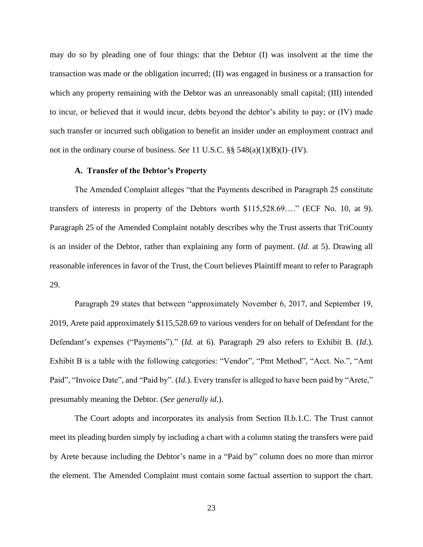may do so by pleading one of four things: that the Debtor (I) was insolvent at the time the transaction was made or the obligation incurred; (II) was engaged in business or a transaction for which any property remaining with the Debtor was an unreasonably small capital; (III) intended to incur, or believed that it would incur, debts beyond the debtor's ability to pay; or (IV) made such transfer or incurred such obligation to benefit an insider under an employment contract and not in the ordinary course of business. *See* 11 U.S.C. §§ 548(a)(1)(B)(I)–(IV).

## **A. Transfer of the Debtor's Property**

The Amended Complaint alleges "that the Payments described in Paragraph 25 constitute transfers of interests in property of the Debtors worth \$115,528.69…." (ECF No. 10, at 9). Paragraph 25 of the Amended Complaint notably describes why the Trust asserts that TriCounty is an insider of the Debtor, rather than explaining any form of payment. (*Id*. at 5). Drawing all reasonable inferences in favor of the Trust, the Court believes Plaintiff meant to refer to Paragraph 29.

Paragraph 29 states that between "approximately November 6, 2017, and September 19, 2019, Arete paid approximately \$115,528.69 to various venders for on behalf of Defendant for the Defendant's expenses ("Payments")." (*Id.* at 6). Paragraph 29 also refers to Exhibit B. (*Id*.). Exhibit B is a table with the following categories: "Vendor", "Pmt Method", "Acct. No.", "Amt Paid", "Invoice Date", and "Paid by". (*Id.*). Every transfer is alleged to have been paid by "Arete," presumably meaning the Debtor. (*See generally id*.).

The Court adopts and incorporates its analysis from Section II.b.1.C. The Trust cannot meet its pleading burden simply by including a chart with a column stating the transfers were paid by Arete because including the Debtor's name in a "Paid by" column does no more than mirror the element. The Amended Complaint must contain some factual assertion to support the chart.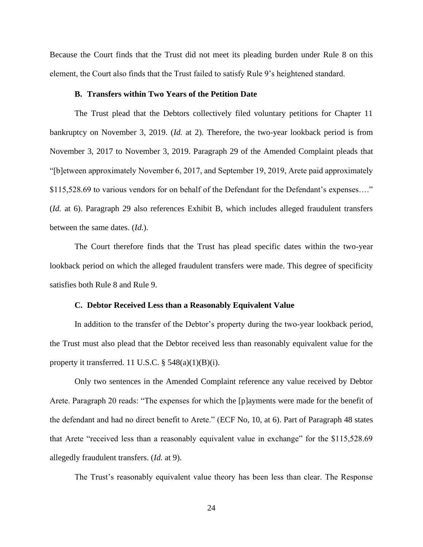Because the Court finds that the Trust did not meet its pleading burden under Rule 8 on this element, the Court also finds that the Trust failed to satisfy Rule 9's heightened standard.

#### **B. Transfers within Two Years of the Petition Date**

The Trust plead that the Debtors collectively filed voluntary petitions for Chapter 11 bankruptcy on November 3, 2019. (*Id.* at 2). Therefore, the two-year lookback period is from November 3, 2017 to November 3, 2019. Paragraph 29 of the Amended Complaint pleads that "[b]etween approximately November 6, 2017, and September 19, 2019, Arete paid approximately \$115,528.69 to various vendors for on behalf of the Defendant for the Defendant's expenses...." (*Id.* at 6). Paragraph 29 also references Exhibit B, which includes alleged fraudulent transfers between the same dates. (*Id.*).

The Court therefore finds that the Trust has plead specific dates within the two-year lookback period on which the alleged fraudulent transfers were made. This degree of specificity satisfies both Rule 8 and Rule 9.

## **C. Debtor Received Less than a Reasonably Equivalent Value**

In addition to the transfer of the Debtor's property during the two-year lookback period, the Trust must also plead that the Debtor received less than reasonably equivalent value for the property it transferred. 11 U.S.C.  $\S$  548(a)(1)(B)(i).

Only two sentences in the Amended Complaint reference any value received by Debtor Arete. Paragraph 20 reads: "The expenses for which the [p]ayments were made for the benefit of the defendant and had no direct benefit to Arete." (ECF No, 10, at 6). Part of Paragraph 48 states that Arete "received less than a reasonably equivalent value in exchange" for the \$115,528.69 allegedly fraudulent transfers. (*Id.* at 9).

The Trust's reasonably equivalent value theory has been less than clear. The Response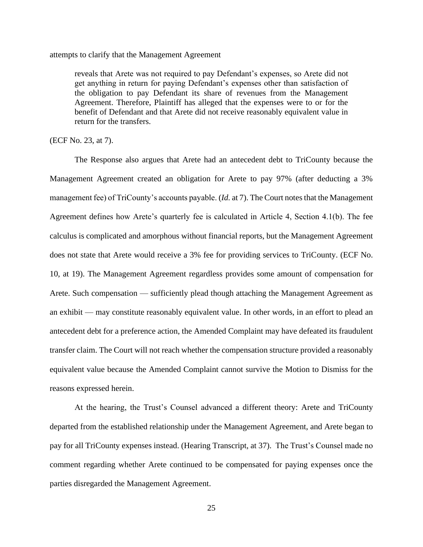attempts to clarify that the Management Agreement

reveals that Arete was not required to pay Defendant's expenses, so Arete did not get anything in return for paying Defendant's expenses other than satisfaction of the obligation to pay Defendant its share of revenues from the Management Agreement. Therefore, Plaintiff has alleged that the expenses were to or for the benefit of Defendant and that Arete did not receive reasonably equivalent value in return for the transfers.

## (ECF No. 23, at 7).

The Response also argues that Arete had an antecedent debt to TriCounty because the Management Agreement created an obligation for Arete to pay 97% (after deducting a 3% management fee) of TriCounty's accounts payable. (*Id.* at 7). The Court notes that the Management Agreement defines how Arete's quarterly fee is calculated in Article 4, Section 4.1(b). The fee calculus is complicated and amorphous without financial reports, but the Management Agreement does not state that Arete would receive a 3% fee for providing services to TriCounty. (ECF No. 10, at 19). The Management Agreement regardless provides some amount of compensation for Arete. Such compensation — sufficiently plead though attaching the Management Agreement as an exhibit — may constitute reasonably equivalent value. In other words, in an effort to plead an antecedent debt for a preference action, the Amended Complaint may have defeated its fraudulent transfer claim. The Court will not reach whether the compensation structure provided a reasonably equivalent value because the Amended Complaint cannot survive the Motion to Dismiss for the reasons expressed herein.

At the hearing, the Trust's Counsel advanced a different theory: Arete and TriCounty departed from the established relationship under the Management Agreement, and Arete began to pay for all TriCounty expenses instead. (Hearing Transcript, at 37). The Trust's Counsel made no comment regarding whether Arete continued to be compensated for paying expenses once the parties disregarded the Management Agreement.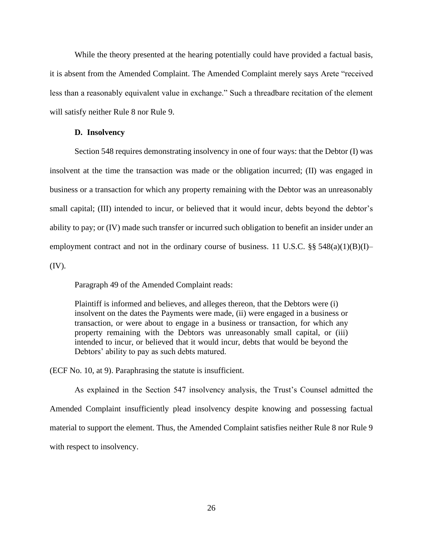While the theory presented at the hearing potentially could have provided a factual basis, it is absent from the Amended Complaint. The Amended Complaint merely says Arete "received less than a reasonably equivalent value in exchange." Such a threadbare recitation of the element will satisfy neither Rule 8 nor Rule 9.

#### **D. Insolvency**

Section 548 requires demonstrating insolvency in one of four ways: that the Debtor (I) was insolvent at the time the transaction was made or the obligation incurred; (II) was engaged in business or a transaction for which any property remaining with the Debtor was an unreasonably small capital; (III) intended to incur, or believed that it would incur, debts beyond the debtor's ability to pay; or (IV) made such transfer or incurred such obligation to benefit an insider under an employment contract and not in the ordinary course of business. 11 U.S.C.  $\S\S 548(a)(1)(B)(I)$ – (IV).

Paragraph 49 of the Amended Complaint reads:

Plaintiff is informed and believes, and alleges thereon, that the Debtors were (i) insolvent on the dates the Payments were made, (ii) were engaged in a business or transaction, or were about to engage in a business or transaction, for which any property remaining with the Debtors was unreasonably small capital, or (iii) intended to incur, or believed that it would incur, debts that would be beyond the Debtors' ability to pay as such debts matured.

(ECF No. 10, at 9). Paraphrasing the statute is insufficient.

As explained in the Section 547 insolvency analysis, the Trust's Counsel admitted the Amended Complaint insufficiently plead insolvency despite knowing and possessing factual material to support the element. Thus, the Amended Complaint satisfies neither Rule 8 nor Rule 9 with respect to insolvency.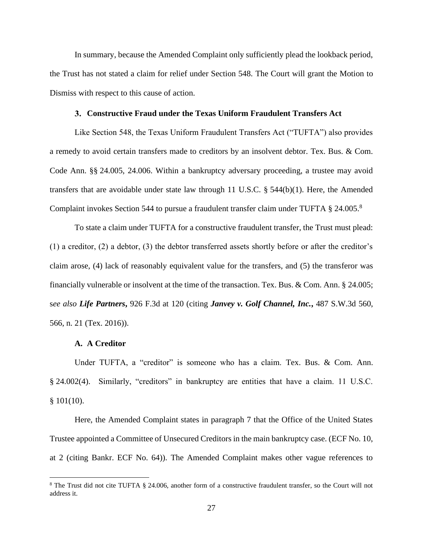In summary, because the Amended Complaint only sufficiently plead the lookback period, the Trust has not stated a claim for relief under Section 548. The Court will grant the Motion to Dismiss with respect to this cause of action.

#### **Constructive Fraud under the Texas Uniform Fraudulent Transfers Act**

Like Section 548, the Texas Uniform Fraudulent Transfers Act ("TUFTA") also provides a remedy to avoid certain transfers made to creditors by an insolvent debtor. Tex. Bus. & Com. Code Ann. §§ 24.005, 24.006. Within a bankruptcy adversary proceeding, a trustee may avoid transfers that are avoidable under state law through 11 U.S.C. § 544(b)(1). Here, the Amended Complaint invokes Section 544 to pursue a fraudulent transfer claim under TUFTA § 24.005. 8

To state a claim under TUFTA for a constructive fraudulent transfer, the Trust must plead: (1) a creditor, (2) a debtor, (3) the debtor transferred assets shortly before or after the creditor's claim arose, (4) lack of reasonably equivalent value for the transfers, and (5) the transferor was financially vulnerable or insolvent at the time of the transaction. Tex. Bus. & Com. Ann. § 24.005; s*ee also Life Partners***,** 926 F.3d at 120 (citing *Janvey v. Golf Channel, Inc.***,** 487 S.W.3d 560, 566, n. 21 (Tex. 2016)).

# **A. A Creditor**

Under TUFTA, a "creditor" is someone who has a claim. Tex. Bus. & Com. Ann. § 24.002(4). Similarly, "creditors" in bankruptcy are entities that have a claim. 11 U.S.C.  $§ 101(10).$ 

Here, the Amended Complaint states in paragraph 7 that the Office of the United States Trustee appointed a Committee of Unsecured Creditors in the main bankruptcy case. (ECF No. 10, at 2 (citing Bankr. ECF No. 64)). The Amended Complaint makes other vague references to

<sup>8</sup> The Trust did not cite TUFTA § 24.006, another form of a constructive fraudulent transfer, so the Court will not address it.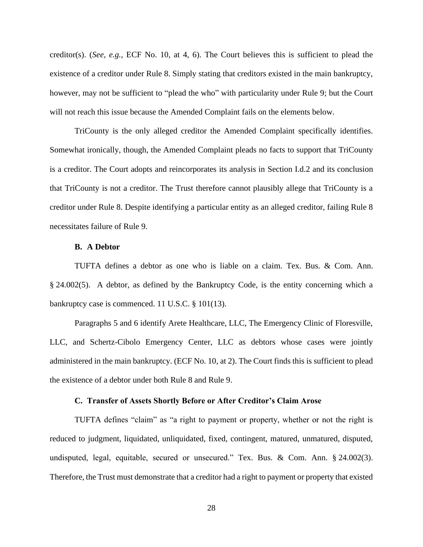creditor(s). (*See, e.g.*, ECF No. 10, at 4, 6). The Court believes this is sufficient to plead the existence of a creditor under Rule 8. Simply stating that creditors existed in the main bankruptcy, however, may not be sufficient to "plead the who" with particularity under Rule 9; but the Court will not reach this issue because the Amended Complaint fails on the elements below.

TriCounty is the only alleged creditor the Amended Complaint specifically identifies. Somewhat ironically, though, the Amended Complaint pleads no facts to support that TriCounty is a creditor. The Court adopts and reincorporates its analysis in Section I.d.2 and its conclusion that TriCounty is not a creditor. The Trust therefore cannot plausibly allege that TriCounty is a creditor under Rule 8. Despite identifying a particular entity as an alleged creditor, failing Rule 8 necessitates failure of Rule 9.

# **B. A Debtor**

TUFTA defines a debtor as one who is liable on a claim. Tex. Bus. & Com. Ann. § 24.002(5). A debtor, as defined by the Bankruptcy Code, is the entity concerning which a bankruptcy case is commenced. 11 U.S.C. § 101(13).

Paragraphs 5 and 6 identify Arete Healthcare, LLC, The Emergency Clinic of Floresville, LLC, and Schertz-Cibolo Emergency Center, LLC as debtors whose cases were jointly administered in the main bankruptcy. (ECF No. 10, at 2). The Court finds this is sufficient to plead the existence of a debtor under both Rule 8 and Rule 9.

## **C. Transfer of Assets Shortly Before or After Creditor's Claim Arose**

TUFTA defines "claim" as "a right to payment or property, whether or not the right is reduced to judgment, liquidated, unliquidated, fixed, contingent, matured, unmatured, disputed, undisputed, legal, equitable, secured or unsecured." Tex. Bus. & Com. Ann. § 24.002(3). Therefore, the Trust must demonstrate that a creditor had a right to payment or property that existed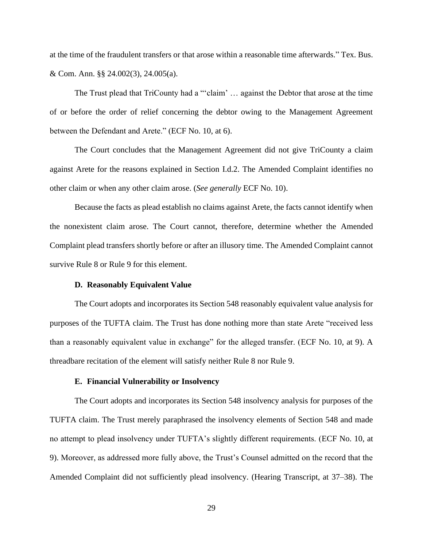at the time of the fraudulent transfers or that arose within a reasonable time afterwards." Tex. Bus. & Com. Ann. §§ 24.002(3), 24.005(a).

The Trust plead that TriCounty had a "'claim' … against the Debtor that arose at the time of or before the order of relief concerning the debtor owing to the Management Agreement between the Defendant and Arete." (ECF No. 10, at 6).

The Court concludes that the Management Agreement did not give TriCounty a claim against Arete for the reasons explained in Section I.d.2. The Amended Complaint identifies no other claim or when any other claim arose. (*See generally* ECF No. 10).

Because the facts as plead establish no claims against Arete, the facts cannot identify when the nonexistent claim arose. The Court cannot, therefore, determine whether the Amended Complaint plead transfers shortly before or after an illusory time. The Amended Complaint cannot survive Rule 8 or Rule 9 for this element.

#### **D. Reasonably Equivalent Value**

The Court adopts and incorporates its Section 548 reasonably equivalent value analysis for purposes of the TUFTA claim. The Trust has done nothing more than state Arete "received less than a reasonably equivalent value in exchange" for the alleged transfer. (ECF No. 10, at 9). A threadbare recitation of the element will satisfy neither Rule 8 nor Rule 9.

## **E. Financial Vulnerability or Insolvency**

The Court adopts and incorporates its Section 548 insolvency analysis for purposes of the TUFTA claim. The Trust merely paraphrased the insolvency elements of Section 548 and made no attempt to plead insolvency under TUFTA's slightly different requirements. (ECF No. 10, at 9). Moreover, as addressed more fully above, the Trust's Counsel admitted on the record that the Amended Complaint did not sufficiently plead insolvency. (Hearing Transcript, at 37–38). The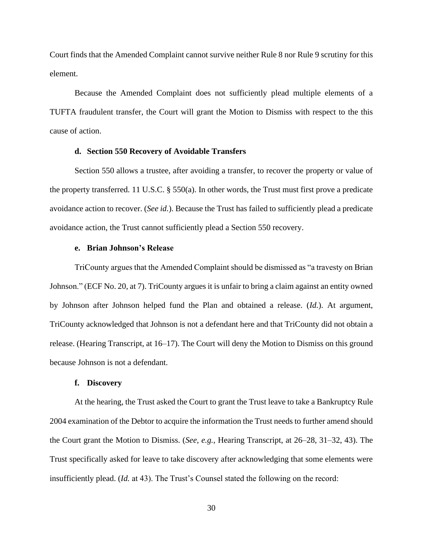Court finds that the Amended Complaint cannot survive neither Rule 8 nor Rule 9 scrutiny for this element.

Because the Amended Complaint does not sufficiently plead multiple elements of a TUFTA fraudulent transfer, the Court will grant the Motion to Dismiss with respect to the this cause of action.

# **d. Section 550 Recovery of Avoidable Transfers**

Section 550 allows a trustee, after avoiding a transfer, to recover the property or value of the property transferred. 11 U.S.C. § 550(a). In other words, the Trust must first prove a predicate avoidance action to recover. (*See id.*). Because the Trust has failed to sufficiently plead a predicate avoidance action, the Trust cannot sufficiently plead a Section 550 recovery.

## **e. Brian Johnson's Release**

TriCounty argues that the Amended Complaint should be dismissed as "a travesty on Brian Johnson." (ECF No. 20, at 7). TriCounty argues it is unfair to bring a claim against an entity owned by Johnson after Johnson helped fund the Plan and obtained a release. (*Id.*). At argument, TriCounty acknowledged that Johnson is not a defendant here and that TriCounty did not obtain a release. (Hearing Transcript, at 16–17). The Court will deny the Motion to Dismiss on this ground because Johnson is not a defendant.

#### **f. Discovery**

At the hearing, the Trust asked the Court to grant the Trust leave to take a Bankruptcy Rule 2004 examination of the Debtor to acquire the information the Trust needs to further amend should the Court grant the Motion to Dismiss. (*See, e.g.*, Hearing Transcript, at 26–28, 31–32, 43). The Trust specifically asked for leave to take discovery after acknowledging that some elements were insufficiently plead. (*Id.* at 43). The Trust's Counsel stated the following on the record: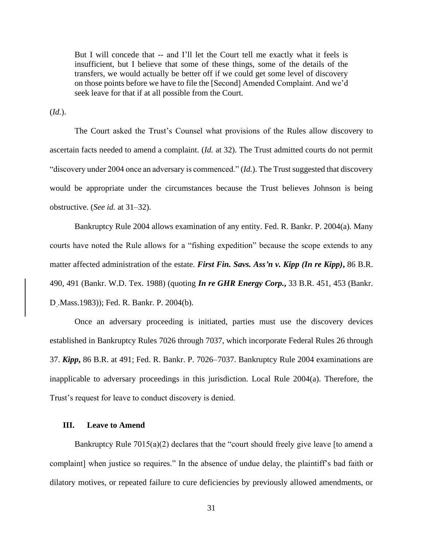But I will concede that -- and I'll let the Court tell me exactly what it feels is insufficient, but I believe that some of these things, some of the details of the transfers, we would actually be better off if we could get some level of discovery on those points before we have to file the [Second] Amended Complaint. And we'd seek leave for that if at all possible from the Court.

(*Id.*).

The Court asked the Trust's Counsel what provisions of the Rules allow discovery to ascertain facts needed to amend a complaint. (*Id.* at 32). The Trust admitted courts do not permit "discovery under 2004 once an adversary is commenced." (*Id.*). The Trust suggested that discovery would be appropriate under the circumstances because the Trust believes Johnson is being obstructive. (*See id.* at 31–32).

Bankruptcy Rule 2004 allows examination of any entity. Fed. R. Bankr. P. 2004(a). Many courts have noted the Rule allows for a "fishing expedition" because the scope extends to any matter affected administration of the estate. *First Fin. Savs. Ass'n v. Kipp (In re Kipp)***,** 86 B.R. 490, 491 (Bankr. W.D. Tex. 1988) (quoting *In re GHR Energy Corp.***,** 33 B.R. 451, 453 (Bankr. D .Mass.1983)); Fed. R. Bankr. P. 2004(b).

Once an adversary proceeding is initiated, parties must use the discovery devices established in Bankruptcy Rules 7026 through 7037, which incorporate Federal Rules 26 through 37. *Kipp***,** 86 B.R. at 491; Fed. R. Bankr. P. 7026–7037. Bankruptcy Rule 2004 examinations are inapplicable to adversary proceedings in this jurisdiction. Local Rule 2004(a). Therefore, the Trust's request for leave to conduct discovery is denied.

## **III. Leave to Amend**

Bankruptcy Rule 7015(a)(2) declares that the "court should freely give leave [to amend a complaint] when justice so requires." In the absence of undue delay, the plaintiff's bad faith or dilatory motives, or repeated failure to cure deficiencies by previously allowed amendments, or